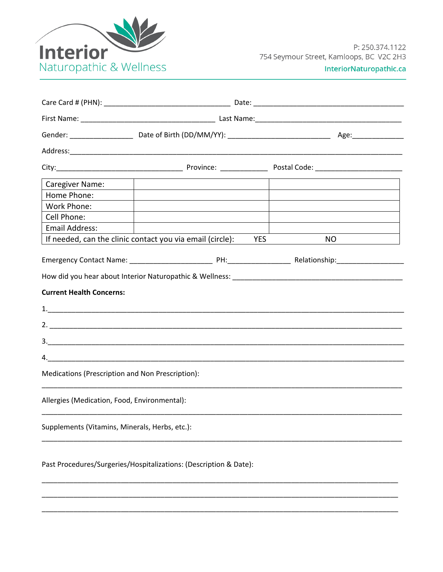

| Caregiver Name:                                                   | the contract of the contract of the contract of the contract of the contract of the contract of the contract of |  |                                  |  |  |  |
|-------------------------------------------------------------------|-----------------------------------------------------------------------------------------------------------------|--|----------------------------------|--|--|--|
| Home Phone:                                                       |                                                                                                                 |  |                                  |  |  |  |
| Work Phone:                                                       |                                                                                                                 |  |                                  |  |  |  |
| Cell Phone:                                                       |                                                                                                                 |  |                                  |  |  |  |
| Email Address:                                                    |                                                                                                                 |  |                                  |  |  |  |
|                                                                   | If needed, can the clinic contact you via email (circle): YES                                                   |  | $NO \qquad \qquad \qquad \qquad$ |  |  |  |
| <b>Current Health Concerns:</b>                                   |                                                                                                                 |  |                                  |  |  |  |
|                                                                   |                                                                                                                 |  |                                  |  |  |  |
|                                                                   |                                                                                                                 |  |                                  |  |  |  |
|                                                                   |                                                                                                                 |  |                                  |  |  |  |
|                                                                   |                                                                                                                 |  |                                  |  |  |  |
| Medications (Prescription and Non Prescription):                  |                                                                                                                 |  |                                  |  |  |  |
| Allergies (Medication, Food, Environmental):                      |                                                                                                                 |  |                                  |  |  |  |
| Supplements (Vitamins, Minerals, Herbs, etc.):                    |                                                                                                                 |  |                                  |  |  |  |
| Past Procedures/Surgeries/Hospitalizations: (Description & Date): |                                                                                                                 |  |                                  |  |  |  |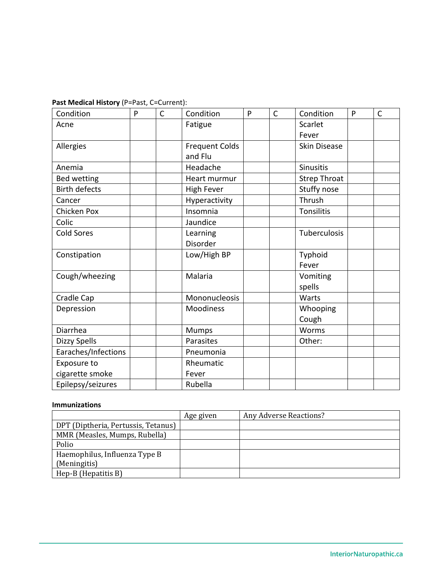## **Past Medical History** (P=Past, C=Current):

| Condition            | P | $\mathsf{C}$ | Condition             | P | $\mathsf{C}$ | Condition           | P | $\mathsf{C}$ |
|----------------------|---|--------------|-----------------------|---|--------------|---------------------|---|--------------|
| Acne                 |   |              | Fatigue               |   |              | Scarlet             |   |              |
|                      |   |              |                       |   |              | Fever               |   |              |
| Allergies            |   |              | <b>Frequent Colds</b> |   |              | <b>Skin Disease</b> |   |              |
|                      |   |              | and Flu               |   |              |                     |   |              |
| Anemia               |   |              | Headache              |   |              | <b>Sinusitis</b>    |   |              |
| <b>Bed wetting</b>   |   |              | Heart murmur          |   |              | <b>Strep Throat</b> |   |              |
| <b>Birth defects</b> |   |              | <b>High Fever</b>     |   |              | Stuffy nose         |   |              |
| Cancer               |   |              | Hyperactivity         |   |              | Thrush              |   |              |
| Chicken Pox          |   |              | Insomnia              |   |              | Tonsilitis          |   |              |
| Colic                |   |              | Jaundice              |   |              |                     |   |              |
| <b>Cold Sores</b>    |   |              | Learning              |   |              | Tuberculosis        |   |              |
|                      |   |              | Disorder              |   |              |                     |   |              |
| Constipation         |   |              | Low/High BP           |   |              | Typhoid             |   |              |
|                      |   |              |                       |   |              | Fever               |   |              |
| Cough/wheezing       |   |              | Malaria               |   |              | Vomiting            |   |              |
|                      |   |              |                       |   |              | spells              |   |              |
| Cradle Cap           |   |              | Mononucleosis         |   |              | Warts               |   |              |
| Depression           |   |              | <b>Moodiness</b>      |   |              | Whooping            |   |              |
|                      |   |              |                       |   |              | Cough               |   |              |
| Diarrhea             |   |              | Mumps                 |   |              | Worms               |   |              |
| Dizzy Spells         |   |              | Parasites             |   |              | Other:              |   |              |
| Earaches/Infections  |   |              | Pneumonia             |   |              |                     |   |              |
| Exposure to          |   |              | Rheumatic             |   |              |                     |   |              |
| cigarette smoke      |   |              | Fever                 |   |              |                     |   |              |
| Epilepsy/seizures    |   |              | Rubella               |   |              |                     |   |              |

## **Immunizations**

|                                     | Age given | Any Adverse Reactions? |
|-------------------------------------|-----------|------------------------|
| DPT (Diptheria, Pertussis, Tetanus) |           |                        |
| MMR (Measles, Mumps, Rubella)       |           |                        |
| Polio                               |           |                        |
| Haemophilus, Influenza Type B       |           |                        |
| (Meningitis)                        |           |                        |
| Hep-B (Hepatitis B)                 |           |                        |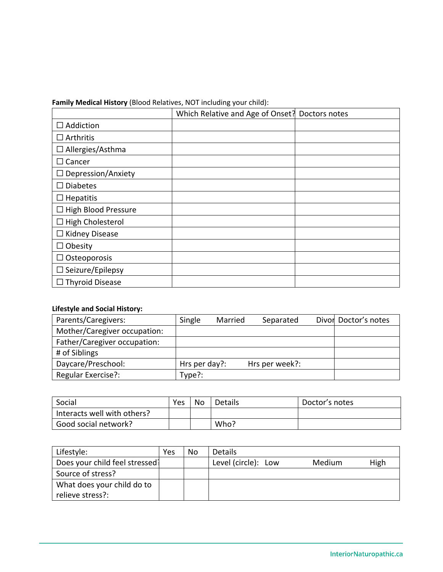**Family Medical History** (Blood Relatives, NOT including your child):

|                            | Which Relative and Age of Onset? Doctors notes |  |
|----------------------------|------------------------------------------------|--|
| $\Box$ Addiction           |                                                |  |
| $\Box$ Arthritis           |                                                |  |
| $\Box$ Allergies/Asthma    |                                                |  |
| $\Box$ Cancer              |                                                |  |
| $\Box$ Depression/Anxiety  |                                                |  |
| $\Box$ Diabetes            |                                                |  |
| $\Box$ Hepatitis           |                                                |  |
| $\Box$ High Blood Pressure |                                                |  |
| $\Box$ High Cholesterol    |                                                |  |
| $\Box$ Kidney Disease      |                                                |  |
| $\Box$ Obesity             |                                                |  |
| $\Box$ Osteoporosis        |                                                |  |
| $\Box$ Seizure/Epilepsy    |                                                |  |
| $\Box$ Thyroid Disease     |                                                |  |

## **Lifestyle and Social History:**

| Parents/Caregivers:          | Single        | Married | Separated      | Divor Doctor's notes |
|------------------------------|---------------|---------|----------------|----------------------|
| Mother/Caregiver occupation: |               |         |                |                      |
| Father/Caregiver occupation: |               |         |                |                      |
| # of Siblings                |               |         |                |                      |
| Daycare/Preschool:           | Hrs per day?: |         | Hrs per week?: |                      |
| Regular Exercise?:           | Type?:        |         |                |                      |

| Social                      | Yes | No | Details | Doctor's notes |
|-----------------------------|-----|----|---------|----------------|
| Interacts well with others? |     |    |         |                |
| Good social network?        |     |    | Who?    |                |

| Lifestyle:                     | Yes | No | <b>Details</b>      |        |      |
|--------------------------------|-----|----|---------------------|--------|------|
| Does your child feel stressed? |     |    | Level (circle): Low | Medium | High |
| Source of stress?              |     |    |                     |        |      |
| What does your child do to     |     |    |                     |        |      |
| relieve stress?:               |     |    |                     |        |      |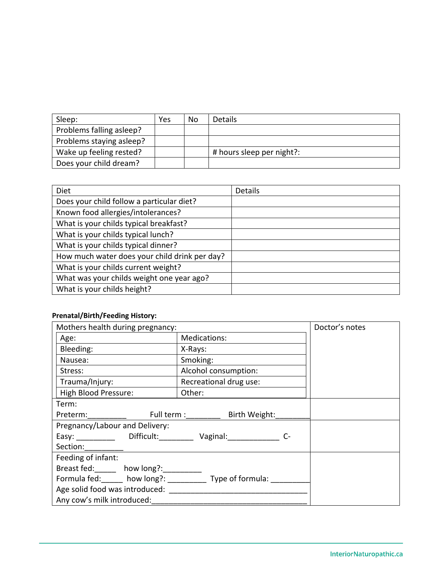| Sleep:                   | Yes | No | <b>Details</b>            |
|--------------------------|-----|----|---------------------------|
| Problems falling asleep? |     |    |                           |
| Problems staying asleep? |     |    |                           |
| Wake up feeling rested?  |     |    | # hours sleep per night?: |
| Does your child dream?   |     |    |                           |

| <b>Diet</b>                                   | <b>Details</b> |
|-----------------------------------------------|----------------|
| Does your child follow a particular diet?     |                |
| Known food allergies/intolerances?            |                |
| What is your childs typical breakfast?        |                |
| What is your childs typical lunch?            |                |
| What is your childs typical dinner?           |                |
| How much water does your child drink per day? |                |
| What is your childs current weight?           |                |
| What was your childs weight one year ago?     |                |
| What is your childs height?                   |                |

## **Prenatal/Birth/Feeding History:**

| Mothers health during pregnancy:                                                                                                                                                                                               | Doctor's notes            |  |
|--------------------------------------------------------------------------------------------------------------------------------------------------------------------------------------------------------------------------------|---------------------------|--|
| Age:                                                                                                                                                                                                                           | Medications:              |  |
| Bleeding:                                                                                                                                                                                                                      | X-Rays:                   |  |
| Nausea:                                                                                                                                                                                                                        | Smoking:                  |  |
| Stress:                                                                                                                                                                                                                        | Alcohol consumption:      |  |
| Trauma/Injury:                                                                                                                                                                                                                 | Recreational drug use:    |  |
| High Blood Pressure:                                                                                                                                                                                                           | Other:                    |  |
| Term:                                                                                                                                                                                                                          |                           |  |
| Preterm: and the state of the state of the state of the state of the state of the state of the state of the state of the state of the state of the state of the state of the state of the state of the state of the state of t | Full term : Birth Weight: |  |
| Pregnancy/Labour and Delivery:                                                                                                                                                                                                 |                           |  |
| Easy: Difficult: Vaginal: C-                                                                                                                                                                                                   |                           |  |
| Section: __________                                                                                                                                                                                                            |                           |  |
| Feeding of infant:                                                                                                                                                                                                             |                           |  |
| Breast fed: how long?:                                                                                                                                                                                                         |                           |  |
| Formula fed: how long?: Type of formula:                                                                                                                                                                                       |                           |  |
| Age solid food was introduced:                                                                                                                                                                                                 |                           |  |
| Any cow's milk introduced:                                                                                                                                                                                                     |                           |  |